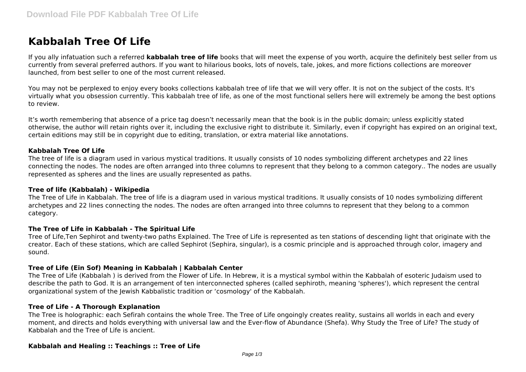# **Kabbalah Tree Of Life**

If you ally infatuation such a referred **kabbalah tree of life** books that will meet the expense of you worth, acquire the definitely best seller from us currently from several preferred authors. If you want to hilarious books, lots of novels, tale, jokes, and more fictions collections are moreover launched, from best seller to one of the most current released.

You may not be perplexed to enjoy every books collections kabbalah tree of life that we will very offer. It is not on the subject of the costs. It's virtually what you obsession currently. This kabbalah tree of life, as one of the most functional sellers here will extremely be among the best options to review.

It's worth remembering that absence of a price tag doesn't necessarily mean that the book is in the public domain; unless explicitly stated otherwise, the author will retain rights over it, including the exclusive right to distribute it. Similarly, even if copyright has expired on an original text, certain editions may still be in copyright due to editing, translation, or extra material like annotations.

### **Kabbalah Tree Of Life**

The tree of life is a diagram used in various mystical traditions. It usually consists of 10 nodes symbolizing different archetypes and 22 lines connecting the nodes. The nodes are often arranged into three columns to represent that they belong to a common category.. The nodes are usually represented as spheres and the lines are usually represented as paths.

#### **Tree of life (Kabbalah) - Wikipedia**

The Tree of Life in Kabbalah. The tree of life is a diagram used in various mystical traditions. It usually consists of 10 nodes symbolizing different archetypes and 22 lines connecting the nodes. The nodes are often arranged into three columns to represent that they belong to a common category.

#### **The Tree of Life in Kabbalah - The Spiritual Life**

Tree of Life,Ten Sephirot and twenty-two paths Explained. The Tree of Life is represented as ten stations of descending light that originate with the creator. Each of these stations, which are called Sephirot (Sephira, singular), is a cosmic principle and is approached through color, imagery and sound.

#### **Tree of Life (Ein Sof) Meaning in Kabbalah | Kabbalah Center**

The Tree of Life (Kabbalah ) is derived from the Flower of Life. In Hebrew, it is a mystical symbol within the Kabbalah of esoteric Judaism used to describe the path to God. It is an arrangement of ten interconnected spheres (called sephiroth, meaning 'spheres'), which represent the central organizational system of the Jewish Kabbalistic tradition or 'cosmology' of the Kabbalah.

#### **Tree of Life - A Thorough Explanation**

The Tree is holographic: each Sefirah contains the whole Tree. The Tree of Life ongoingly creates reality, sustains all worlds in each and every moment, and directs and holds everything with universal law and the Ever-flow of Abundance (Shefa). Why Study the Tree of Life? The study of Kabbalah and the Tree of Life is ancient.

#### **Kabbalah and Healing :: Teachings :: Tree of Life**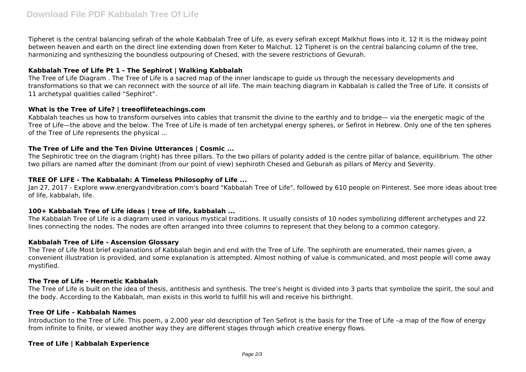Tipheret is the central balancing sefirah of the whole Kabbalah Tree of Life, as every sefirah except Malkhut flows into it. 12 It is the midway point between heaven and earth on the direct line extending down from Keter to Malchut. 12 Tipheret is on the central balancing column of the tree, harmonizing and synthesizing the boundless outpouring of Chesed, with the severe restrictions of Gevurah.

# **Kabbalah Tree of Life Pt 1 - The Sephirot | Walking Kabbalah**

The Tree of Life Diagram . The Tree of Life is a sacred map of the inner landscape to guide us through the necessary developments and transformations so that we can reconnect with the source of all life. The main teaching diagram in Kabbalah is called the Tree of Life. It consists of 11 archetypal qualities called "Sephirot".

# **What is the Tree of Life? | treeoflifeteachings.com**

Kabbalah teaches us how to transform ourselves into cables that transmit the divine to the earthly and to bridge— via the energetic magic of the Tree of Life—the above and the below. The Tree of Life is made of ten archetypal energy spheres, or Sefirot in Hebrew. Only one of the ten spheres of the Tree of Life represents the physical ...

# **The Tree of Life and the Ten Divine Utterances | Cosmic ...**

The Sephirotic tree on the diagram (right) has three pillars. To the two pillars of polarity added is the centre pillar of balance, equilibrium. The other two pillars are named after the dominant (from our point of view) sephiroth Chesed and Geburah as pillars of Mercy and Severity.

# **TREE OF LIFE - The Kabbalah: A Timeless Philosophy of Life ...**

Jan 27, 2017 - Explore www.energyandvibration.com's board "Kabbalah Tree of Life", followed by 610 people on Pinterest. See more ideas about tree of life, kabbalah, life.

# **100+ Kabbalah Tree of Life ideas | tree of life, kabbalah ...**

The Kabbalah Tree of Life is a diagram used in various mystical traditions. It usually consists of 10 nodes symbolizing different archetypes and 22 lines connecting the nodes. The nodes are often arranged into three columns to represent that they belong to a common category.

# **Kabbalah Tree of Life - Ascension Glossary**

The Tree of Life Most brief explanations of Kabbalah begin and end with the Tree of Life. The sephiroth are enumerated, their names given, a convenient illustration is provided, and some explanation is attempted. Almost nothing of value is communicated, and most people will come away mystified.

# **The Tree of Life - Hermetic Kabbalah**

The Tree of Life is built on the idea of thesis, antithesis and synthesis. The tree's height is divided into 3 parts that symbolize the spirit, the soul and the body. According to the Kabbalah, man exists in this world to fulfill his will and receive his birthright.

# **Tree Of Life – Kabbalah Names**

Introduction to the Tree of Life. This poem, a 2,000 year old description of Ten Sefirot is the basis for the Tree of Life –a map of the flow of energy from infinite to finite, or viewed another way they are different stages through which creative energy flows.

# **Tree of Life | Kabbalah Experience**